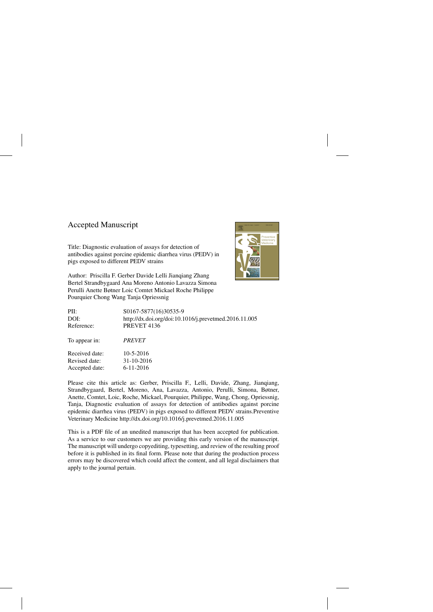## Accepted Manuscript

Title: Diagnostic evaluation of assays for detection of antibodies against porcine epidemic diarrhea virus (PEDV) in pigs exposed to different PEDV strains

Author: Priscilla F. Gerber Davide Lelli Jianqiang Zhang Bertel Strandbygaard Ana Moreno Antonio Lavazza Simona Perulli Anette Bøtner Loic Comtet Mickael Roche Philippe Pourquier Chong Wang Tanja Opriessnig



| PII:<br>DOI:<br>Reference: | S0167-5877(16)30535-9<br>http://dx.doi.org/doi:10.1016/j.prevetmed.2016.11.005<br>PREVET 4136 |
|----------------------------|-----------------------------------------------------------------------------------------------|
| To appear in:              | <i>PREVET</i>                                                                                 |
| Received date:             | $10-5-2016$                                                                                   |
| Revised date:              | 31-10-2016                                                                                    |
| Accepted date:             | $6 - 11 - 2016$                                                                               |

Please cite this article as: Gerber, Priscilla F., Lelli, Davide, Zhang, Jianqiang, Strandbygaard, Bertel, Moreno, Ana, Lavazza, Antonio, Perulli, Simona, Bøtner, Anette, Comtet, Loic, Roche, Mickael, Pourquier, Philippe, Wang, Chong, Opriessnig, Tanja, Diagnostic evaluation of assays for detection of antibodies against porcine epidemic diarrhea virus (PEDV) in pigs exposed to different PEDV strains.Preventive Veterinary Medicine<http://dx.doi.org/10.1016/j.prevetmed.2016.11.005>

This is a PDF file of an unedited manuscript that has been accepted for publication. As a service to our customers we are providing this early version of the manuscript. The manuscript will undergo copyediting, typesetting, and review of the resulting proof before it is published in its final form. Please note that during the production process errors may be discovered which could affect the content, and all legal disclaimers that apply to the journal pertain.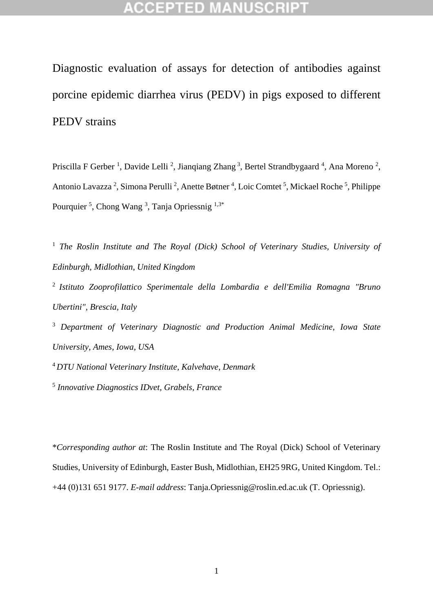Diagnostic evaluation of assays for detection of antibodies against porcine epidemic diarrhea virus (PEDV) in pigs exposed to different PEDV strains

Priscilla F Gerber<sup>1</sup>, Davide Lelli<sup>2</sup>, Jianqiang Zhang<sup>3</sup>, Bertel Strandbygaard<sup>4</sup>, Ana Moreno<sup>2</sup>, Antonio Lavazza<sup>2</sup>, Simona Perulli<sup>2</sup>, Anette Bøtner<sup>4</sup>, Loic Comtet<sup>5</sup>, Mickael Roche<sup>5</sup>, Philippe Pourquier<sup>5</sup>, Chong Wang<sup>3</sup>, Tanja Opriessnig<sup>1,3\*</sup>

<sup>1</sup> *The Roslin Institute and The Royal (Dick) School of Veterinary Studies, University of Edinburgh, Midlothian, United Kingdom*

2 *Istituto Zooprofilattico Sperimentale della Lombardia e dell'Emilia Romagna "Bruno Ubertini", Brescia, Italy*

<sup>3</sup> *Department of Veterinary Diagnostic and Production Animal Medicine, Iowa State University, Ames, Iowa, USA*

<sup>4</sup> *DTU National Veterinary Institute, Kalvehave, Denmark*

5 *Innovative Diagnostics IDvet, Grabels, France* 

\**Corresponding author at*: The Roslin Institute and The Royal (Dick) School of Veterinary Studies, University of Edinburgh, Easter Bush, Midlothian, EH25 9RG, United Kingdom. Tel.: +44 (0)131 651 9177. *E-mail address*: Tanja.Opriessnig@roslin.ed.ac.uk (T. Opriessnig).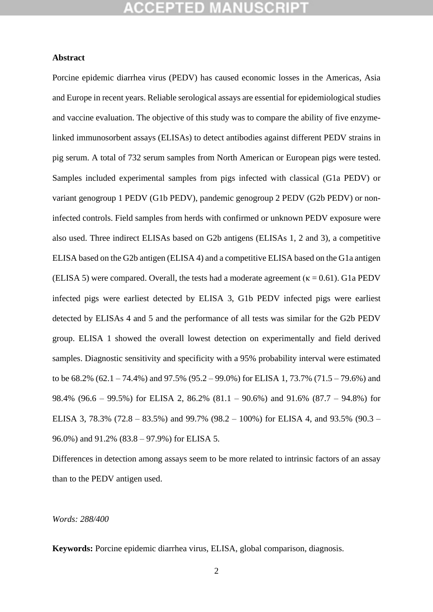## ICEPTED M

#### **Abstract**

Porcine epidemic diarrhea virus (PEDV) has caused economic losses in the Americas, Asia and Europe in recent years. Reliable serological assays are essential for epidemiological studies and vaccine evaluation. The objective of this study was to compare the ability of five enzymelinked immunosorbent assays (ELISAs) to detect antibodies against different PEDV strains in pig serum. A total of 732 serum samples from North American or European pigs were tested. Samples included experimental samples from pigs infected with classical (G1a PEDV) or variant genogroup 1 PEDV (G1b PEDV), pandemic genogroup 2 PEDV (G2b PEDV) or noninfected controls. Field samples from herds with confirmed or unknown PEDV exposure were also used. Three indirect ELISAs based on G2b antigens (ELISAs 1, 2 and 3), a competitive ELISA based on the G2b antigen (ELISA 4) and a competitive ELISA based on the G1a antigen (ELISA 5) were compared. Overall, the tests had a moderate agreement ( $\kappa = 0.61$ ). G1a PEDV infected pigs were earliest detected by ELISA 3, G1b PEDV infected pigs were earliest detected by ELISAs 4 and 5 and the performance of all tests was similar for the G2b PEDV group. ELISA 1 showed the overall lowest detection on experimentally and field derived samples. Diagnostic sensitivity and specificity with a 95% probability interval were estimated to be 68.2% (62.1 – 74.4%) and 97.5% (95.2 – 99.0%) for ELISA 1, 73.7% (71.5 – 79.6%) and 98.4% (96.6 – 99.5%) for ELISA 2, 86.2% (81.1 – 90.6%) and 91.6% (87.7 – 94.8%) for ELISA 3, 78.3% (72.8 – 83.5%) and 99.7% (98.2 – 100%) for ELISA 4, and 93.5% (90.3 – 96.0%) and 91.2% (83.8 – 97.9%) for ELISA 5.

Differences in detection among assays seem to be more related to intrinsic factors of an assay than to the PEDV antigen used.

#### *Words: 288/400*

**Keywords:** Porcine epidemic diarrhea virus, ELISA, global comparison, diagnosis.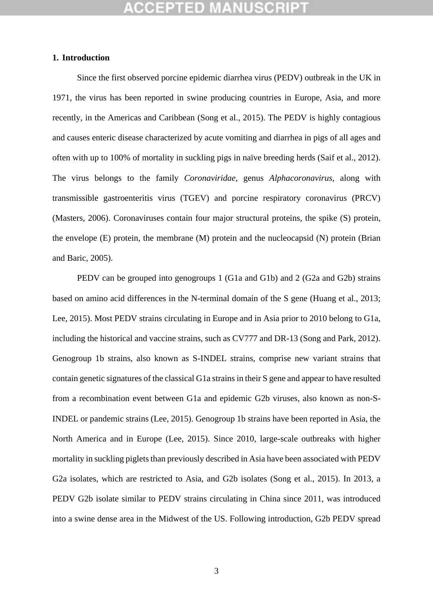## GEPTED

#### **1. Introduction**

Since the first observed porcine epidemic diarrhea virus (PEDV) outbreak in the UK in 1971, the virus has been reported in swine producing countries in Europe, Asia, and more recently, in the Americas and Caribbean (Song et al., 2015). The PEDV is highly contagious and causes enteric disease characterized by acute vomiting and diarrhea in pigs of all ages and often with up to 100% of mortality in suckling pigs in naïve breeding herds (Saif et al., 2012). The virus belongs to the family *Coronaviridae*, genus *Alphacoronavirus*, along with transmissible gastroenteritis virus (TGEV) and porcine respiratory coronavirus (PRCV) (Masters, 2006). Coronaviruses contain four major structural proteins, the spike (S) protein, the envelope (E) protein, the membrane (M) protein and the nucleocapsid (N) protein (Brian and Baric, 2005).

PEDV can be grouped into genogroups 1 (G1a and G1b) and 2 (G2a and G2b) strains based on amino acid differences in the N-terminal domain of the S gene (Huang et al., 2013; Lee, 2015). Most PEDV strains circulating in Europe and in Asia prior to 2010 belong to G1a, including the historical and vaccine strains, such as CV777 and DR-13 (Song and Park, 2012). Genogroup 1b strains, also known as S-INDEL strains, comprise new variant strains that contain genetic signatures of the classical G1a strainsin their S gene and appear to have resulted from a recombination event between G1a and epidemic G2b viruses, also known as non-S-INDEL or pandemic strains (Lee, 2015). Genogroup 1b strains have been reported in Asia, the North America and in Europe (Lee, 2015). Since 2010, large-scale outbreaks with higher mortality in suckling piglets than previously described in Asia have been associated with PEDV G2a isolates, which are restricted to Asia, and G2b isolates (Song et al., 2015). In 2013, a PEDV G2b isolate similar to PEDV strains circulating in China since 2011, was introduced into a swine dense area in the Midwest of the US. Following introduction, G2b PEDV spread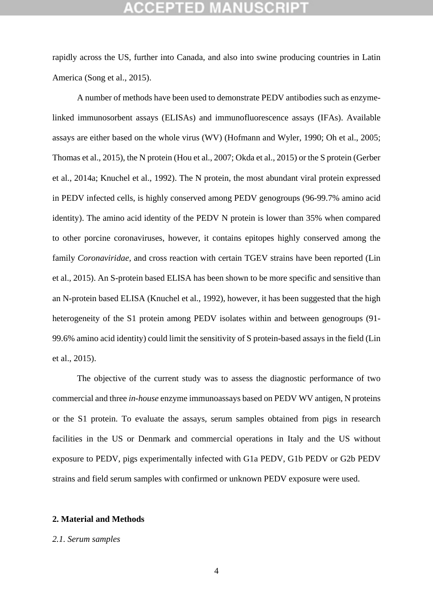rapidly across the US, further into Canada, and also into swine producing countries in Latin America (Song et al., 2015).

A number of methods have been used to demonstrate PEDV antibodies such as enzymelinked immunosorbent assays (ELISAs) and immunofluorescence assays (IFAs). Available assays are either based on the whole virus (WV) (Hofmann and Wyler, 1990; Oh et al., 2005; Thomas et al., 2015), the N protein (Hou et al., 2007; Okda et al., 2015) or the S protein (Gerber et al., 2014a; Knuchel et al., 1992). The N protein, the most abundant viral protein expressed in PEDV infected cells, is highly conserved among PEDV genogroups (96-99.7% amino acid identity). The amino acid identity of the PEDV N protein is lower than 35% when compared to other porcine coronaviruses, however, it contains epitopes highly conserved among the family *Coronaviridae,* and cross reaction with certain TGEV strains have been reported (Lin et al., 2015). An S-protein based ELISA has been shown to be more specific and sensitive than an N-protein based ELISA (Knuchel et al., 1992), however, it has been suggested that the high heterogeneity of the S1 protein among PEDV isolates within and between genogroups (91- 99.6% amino acid identity) could limit the sensitivity of S protein-based assays in the field (Lin et al., 2015).

The objective of the current study was to assess the diagnostic performance of two commercial and three *in-house* enzyme immunoassays based on PEDV WV antigen, N proteins or the S1 protein. To evaluate the assays, serum samples obtained from pigs in research facilities in the US or Denmark and commercial operations in Italy and the US without exposure to PEDV, pigs experimentally infected with G1a PEDV, G1b PEDV or G2b PEDV strains and field serum samples with confirmed or unknown PEDV exposure were used.

#### **2. Material and Methods**

#### *2.1. Serum samples*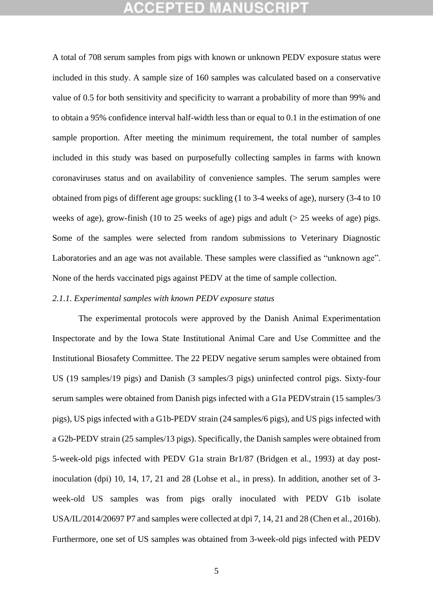## (CEPTED M

A total of 708 serum samples from pigs with known or unknown PEDV exposure status were included in this study. A sample size of 160 samples was calculated based on a conservative value of 0.5 for both sensitivity and specificity to warrant a probability of more than 99% and to obtain a 95% confidence interval half-width less than or equal to 0.1 in the estimation of one sample proportion. After meeting the minimum requirement, the total number of samples included in this study was based on purposefully collecting samples in farms with known coronaviruses status and on availability of convenience samples. The serum samples were obtained from pigs of different age groups: suckling (1 to 3-4 weeks of age), nursery (3-4 to 10 weeks of age), grow-finish (10 to 25 weeks of age) pigs and adult ( $> 25$  weeks of age) pigs. Some of the samples were selected from random submissions to Veterinary Diagnostic Laboratories and an age was not available. These samples were classified as "unknown age". None of the herds vaccinated pigs against PEDV at the time of sample collection.

### *2.1.1. Experimental samples with known PEDV exposure status*

The experimental protocols were approved by the Danish Animal Experimentation Inspectorate and by the Iowa State Institutional Animal Care and Use Committee and the Institutional Biosafety Committee. The 22 PEDV negative serum samples were obtained from US (19 samples/19 pigs) and Danish (3 samples/3 pigs) uninfected control pigs. Sixty-four serum samples were obtained from Danish pigs infected with a G1a PEDVstrain (15 samples/3 pigs), US pigs infected with a G1b-PEDV strain (24 samples/6 pigs), and US pigs infected with a G2b-PEDV strain (25 samples/13 pigs). Specifically, the Danish samples were obtained from 5-week-old pigs infected with PEDV G1a strain Br1/87 (Bridgen et al., 1993) at day postinoculation (dpi) 10, 14, 17, 21 and 28 (Lohse et al., in press). In addition, another set of 3 week-old US samples was from pigs orally inoculated with PEDV G1b isolate USA/IL/2014/20697 P7 and samples were collected at dpi 7, 14, 21 and 28 (Chen et al., 2016b). Furthermore, one set of US samples was obtained from 3-week-old pigs infected with PEDV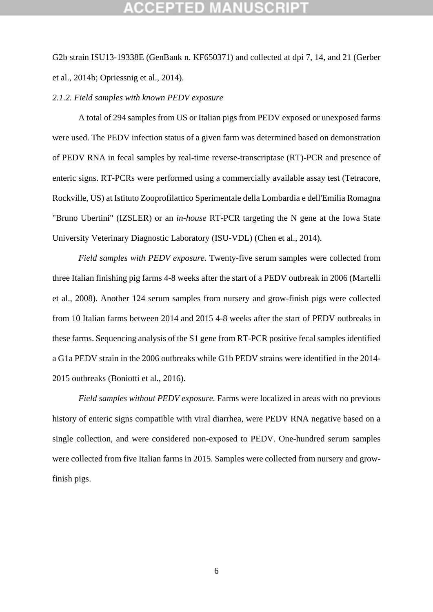G2b strain ISU13-19338E (GenBank n. KF650371) and collected at dpi 7, 14, and 21 (Gerber et al., 2014b; Opriessnig et al., 2014).

#### *2.1.2. Field samples with known PEDV exposure*

A total of 294 samples from US or Italian pigs from PEDV exposed or unexposed farms were used. The PEDV infection status of a given farm was determined based on demonstration of PEDV RNA in fecal samples by real-time reverse-transcriptase (RT)-PCR and presence of enteric signs. RT-PCRs were performed using a commercially available assay test (Tetracore, Rockville, US) at Istituto Zooprofilattico Sperimentale della Lombardia e dell'Emilia Romagna "Bruno Ubertini" (IZSLER) or an *in-house* RT-PCR targeting the N gene at the Iowa State University Veterinary Diagnostic Laboratory (ISU-VDL) (Chen et al., 2014).

*Field samples with PEDV exposure.* Twenty-five serum samples were collected from three Italian finishing pig farms 4-8 weeks after the start of a PEDV outbreak in 2006 (Martelli et al., 2008). Another 124 serum samples from nursery and grow-finish pigs were collected from 10 Italian farms between 2014 and 2015 4-8 weeks after the start of PEDV outbreaks in these farms. Sequencing analysis of the S1 gene from RT-PCR positive fecal samples identified a G1a PEDV strain in the 2006 outbreaks while G1b PEDV strains were identified in the 2014- 2015 outbreaks (Boniotti et al., 2016).

*Field samples without PEDV exposure.* Farms were localized in areas with no previous history of enteric signs compatible with viral diarrhea, were PEDV RNA negative based on a single collection, and were considered non-exposed to PEDV. One-hundred serum samples were collected from five Italian farms in 2015. Samples were collected from nursery and growfinish pigs.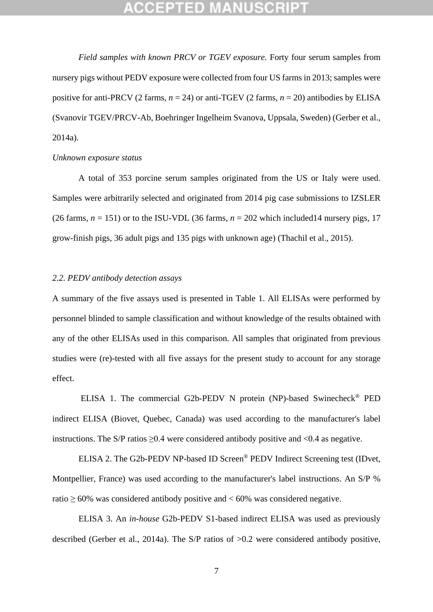*Field samples with known PRCV or TGEV exposure.* Forty four serum samples from nursery pigs without PEDV exposure were collected from four US farms in 2013; samples were positive for anti-PRCV (2 farms,  $n = 24$ ) or anti-TGEV (2 farms,  $n = 20$ ) antibodies by ELISA (Svanovir TGEV/PRCV-Ab, Boehringer Ingelheim Svanova, Uppsala, Sweden) (Gerber et al., 2014a).

#### *Unknown exposure status*

A total of 353 porcine serum samples originated from the US or Italy were used. Samples were arbitrarily selected and originated from 2014 pig case submissions to IZSLER (26 farms,  $n = 151$ ) or to the ISU-VDL (36 farms,  $n = 202$  which included 14 nursery pigs, 17 grow-finish pigs, 36 adult pigs and 135 pigs with unknown age) (Thachil et al., 2015).

#### *2.2. PEDV antibody detection assays*

A summary of the five assays used is presented in Table 1. All ELISAs were performed by personnel blinded to sample classification and without knowledge of the results obtained with any of the other ELISAs used in this comparison. All samples that originated from previous studies were (re)-tested with all five assays for the present study to account for any storage effect.

ELISA 1. The commercial G2b-PEDV N protein (NP)-based Swinecheck® PED indirect ELISA (Biovet, Quebec, Canada) was used according to the manufacturer's label instructions. The S/P ratios  $\geq 0.4$  were considered antibody positive and <0.4 as negative.

ELISA 2. The G2b-PEDV NP-based ID Screen® PEDV Indirect Screening test (IDvet, Montpellier, France) was used according to the manufacturer's label instructions. An S/P % ratio  $\geq 60\%$  was considered antibody positive and  $\lt 60\%$  was considered negative.

ELISA 3. An *in-house* G2b-PEDV S1-based indirect ELISA was used as previously described (Gerber et al., 2014a). The S/P ratios of >0.2 were considered antibody positive,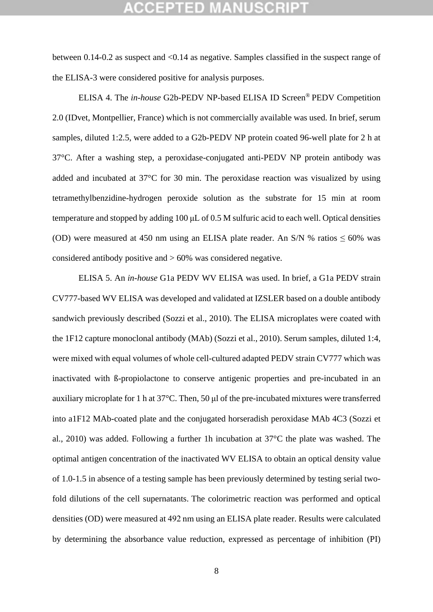## GEPTED M

between 0.14-0.2 as suspect and <0.14 as negative. Samples classified in the suspect range of the ELISA-3 were considered positive for analysis purposes.

ELISA 4. The *in-house* G2b-PEDV NP-based ELISA ID Screen® PEDV Competition 2.0 (IDvet, Montpellier, France) which is not commercially available was used. In brief, serum samples, diluted 1:2.5, were added to a G2b-PEDV NP protein coated 96-well plate for 2 h at 37°C. After a washing step, a peroxidase-conjugated anti-PEDV NP protein antibody was added and incubated at 37°C for 30 min. The peroxidase reaction was visualized by using tetramethylbenzidine-hydrogen peroxide solution as the substrate for 15 min at room temperature and stopped by adding 100 μL of 0.5 M sulfuric acid to each well. Optical densities (OD) were measured at 450 nm using an ELISA plate reader. An S/N % ratios  $\leq 60\%$  was considered antibody positive and > 60% was considered negative.

ELISA 5. An *in-house* G1a PEDV WV ELISA was used. In brief, a G1a PEDV strain CV777-based WV ELISA was developed and validated at IZSLER based on a double antibody sandwich previously described (Sozzi et al., 2010). The ELISA microplates were coated with the 1F12 capture monoclonal antibody (MAb) (Sozzi et al., 2010). Serum samples, diluted 1:4, were mixed with equal volumes of whole cell-cultured adapted PEDV strain CV777 which was inactivated with ß-propiolactone to conserve antigenic properties and pre-incubated in an auxiliary microplate for 1 h at 37°C. Then, 50 μl of the pre-incubated mixtures were transferred into a1F12 MAb-coated plate and the conjugated horseradish peroxidase MAb 4C3 (Sozzi et al., 2010) was added. Following a further 1h incubation at 37°C the plate was washed. The optimal antigen concentration of the inactivated WV ELISA to obtain an optical density value of 1.0-1.5 in absence of a testing sample has been previously determined by testing serial twofold dilutions of the cell supernatants. The colorimetric reaction was performed and optical densities (OD) were measured at 492 nm using an ELISA plate reader. Results were calculated by determining the absorbance value reduction, expressed as percentage of inhibition (PI)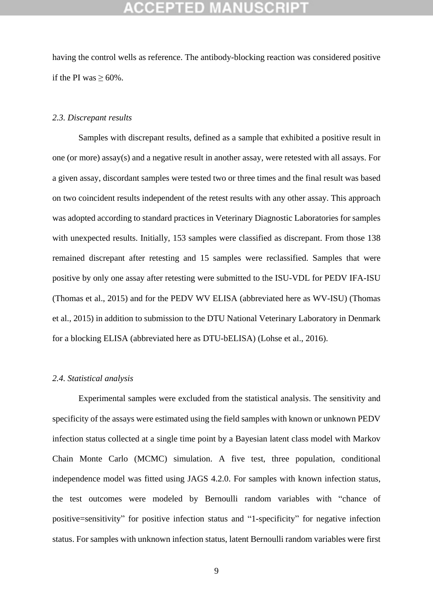## :CEPTED M

having the control wells as reference. The antibody-blocking reaction was considered positive if the PI was  $\geq 60\%$ .

#### *2.3. Discrepant results*

Samples with discrepant results, defined as a sample that exhibited a positive result in one (or more) assay(s) and a negative result in another assay, were retested with all assays. For a given assay, discordant samples were tested two or three times and the final result was based on two coincident results independent of the retest results with any other assay. This approach was adopted according to standard practices in Veterinary Diagnostic Laboratories for samples with unexpected results. Initially, 153 samples were classified as discrepant. From those 138 remained discrepant after retesting and 15 samples were reclassified. Samples that were positive by only one assay after retesting were submitted to the ISU-VDL for PEDV IFA-ISU (Thomas et al., 2015) and for the PEDV WV ELISA (abbreviated here as WV-ISU) (Thomas et al., 2015) in addition to submission to the DTU National Veterinary Laboratory in Denmark for a blocking ELISA (abbreviated here as DTU-bELISA) (Lohse et al., 2016).

### *2.4. Statistical analysis*

Experimental samples were excluded from the statistical analysis. The sensitivity and specificity of the assays were estimated using the field samples with known or unknown PEDV infection status collected at a single time point by a Bayesian latent class model with Markov Chain Monte Carlo (MCMC) simulation. A five test, three population, conditional independence model was fitted using JAGS 4.2.0. For samples with known infection status, the test outcomes were modeled by Bernoulli random variables with "chance of positive=sensitivity" for positive infection status and "1-specificity" for negative infection status. For samples with unknown infection status, latent Bernoulli random variables were first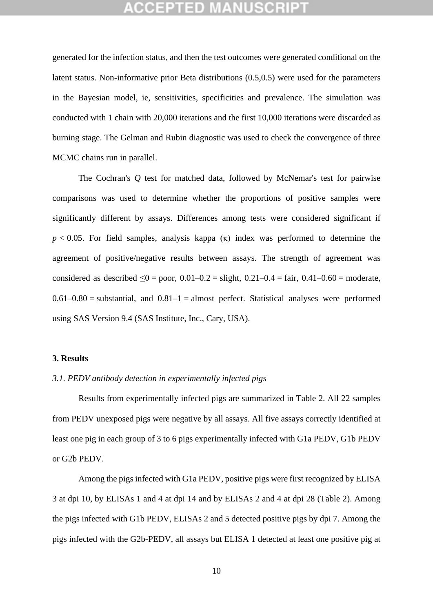## **CEPTED**

generated for the infection status, and then the test outcomes were generated conditional on the latent status. Non-informative prior Beta distributions (0.5,0.5) were used for the parameters in the Bayesian model, ie, sensitivities, specificities and prevalence. The simulation was conducted with 1 chain with 20,000 iterations and the first 10,000 iterations were discarded as burning stage. The Gelman and Rubin diagnostic was used to check the convergence of three MCMC chains run in parallel.

The Cochran's *Q* test for matched data, followed by McNemar's test for pairwise comparisons was used to determine whether the proportions of positive samples were significantly different by assays. Differences among tests were considered significant if *p <* 0.05. For field samples, analysis kappa (κ) index was performed to determine the agreement of positive/negative results between assays. The strength of agreement was considered as described ≤0 = poor,  $0.01-0.2$  = slight,  $0.21-0.4$  = fair,  $0.41-0.60$  = moderate,  $0.61-0.80$  = substantial, and  $0.81-1$  = almost perfect. Statistical analyses were performed using SAS Version 9.4 (SAS Institute, Inc., Cary, USA).

#### **3. Results**

### *3.1. PEDV antibody detection in experimentally infected pigs*

Results from experimentally infected pigs are summarized in Table 2. All 22 samples from PEDV unexposed pigs were negative by all assays. All five assays correctly identified at least one pig in each group of 3 to 6 pigs experimentally infected with G1a PEDV, G1b PEDV or G2b PEDV.

Among the pigs infected with G1a PEDV, positive pigs were first recognized by ELISA 3 at dpi 10, by ELISAs 1 and 4 at dpi 14 and by ELISAs 2 and 4 at dpi 28 (Table 2). Among the pigs infected with G1b PEDV, ELISAs 2 and 5 detected positive pigs by dpi 7. Among the pigs infected with the G2b-PEDV, all assays but ELISA 1 detected at least one positive pig at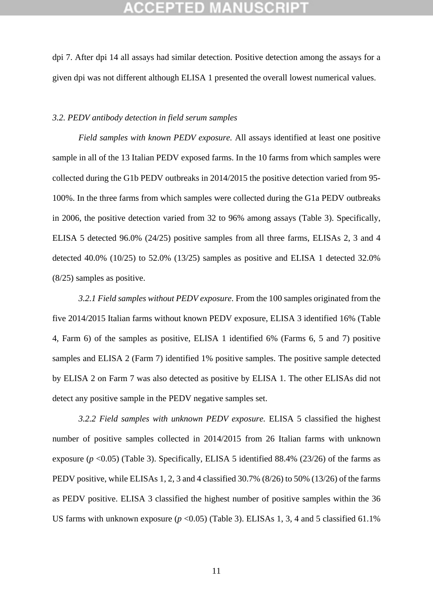dpi 7. After dpi 14 all assays had similar detection. Positive detection among the assays for a given dpi was not different although ELISA 1 presented the overall lowest numerical values.

#### *3.2. PEDV antibody detection in field serum samples*

*Field samples with known PEDV exposure.* All assays identified at least one positive sample in all of the 13 Italian PEDV exposed farms. In the 10 farms from which samples were collected during the G1b PEDV outbreaks in 2014/2015 the positive detection varied from 95- 100%. In the three farms from which samples were collected during the G1a PEDV outbreaks in 2006, the positive detection varied from 32 to 96% among assays (Table 3). Specifically, ELISA 5 detected 96.0% (24/25) positive samples from all three farms, ELISAs 2, 3 and 4 detected 40.0% (10/25) to 52.0% (13/25) samples as positive and ELISA 1 detected 32.0% (8/25) samples as positive.

*3.2.1 Field samples without PEDV exposure.* From the 100 samples originated from the five 2014/2015 Italian farms without known PEDV exposure, ELISA 3 identified 16% (Table 4, Farm 6) of the samples as positive, ELISA 1 identified 6% (Farms 6, 5 and 7) positive samples and ELISA 2 (Farm 7) identified 1% positive samples. The positive sample detected by ELISA 2 on Farm 7 was also detected as positive by ELISA 1. The other ELISAs did not detect any positive sample in the PEDV negative samples set.

*3.2.2 Field samples with unknown PEDV exposure.* ELISA 5 classified the highest number of positive samples collected in 2014/2015 from 26 Italian farms with unknown exposure  $(p \le 0.05)$  (Table 3). Specifically, ELISA 5 identified 88.4% (23/26) of the farms as PEDV positive, while ELISAs 1, 2, 3 and 4 classified 30.7% (8/26) to 50% (13/26) of the farms as PEDV positive. ELISA 3 classified the highest number of positive samples within the 36 US farms with unknown exposure  $(p \le 0.05)$  (Table 3). ELISAs 1, 3, 4 and 5 classified 61.1%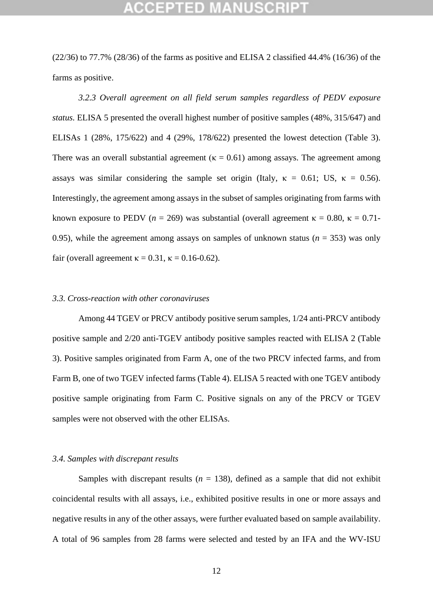## (CEPTED)

(22/36) to 77.7% (28/36) of the farms as positive and ELISA 2 classified 44.4% (16/36) of the farms as positive.

*3.2.3 Overall agreement on all field serum samples regardless of PEDV exposure status.* ELISA 5 presented the overall highest number of positive samples (48%, 315/647) and ELISAs 1 (28%, 175/622) and 4 (29%, 178/622) presented the lowest detection (Table 3). There was an overall substantial agreement ( $\kappa = 0.61$ ) among assays. The agreement among assays was similar considering the sample set origin (Italy,  $\kappa = 0.61$ ; US,  $\kappa = 0.56$ ). Interestingly, the agreement among assays in the subset of samples originating from farms with known exposure to PEDV ( $n = 269$ ) was substantial (overall agreement  $\kappa = 0.80$ ,  $\kappa = 0.71$ -0.95), while the agreement among assays on samples of unknown status ( $n = 353$ ) was only fair (overall agreement  $\kappa = 0.31$ ,  $\kappa = 0.16$ -0.62).

### *3.3. Cross-reaction with other coronaviruses*

Among 44 TGEV or PRCV antibody positive serum samples, 1/24 anti-PRCV antibody positive sample and 2/20 anti-TGEV antibody positive samples reacted with ELISA 2 (Table 3). Positive samples originated from Farm A, one of the two PRCV infected farms, and from Farm B, one of two TGEV infected farms (Table 4). ELISA 5 reacted with one TGEV antibody positive sample originating from Farm C. Positive signals on any of the PRCV or TGEV samples were not observed with the other ELISAs.

#### *3.4. Samples with discrepant results*

Samples with discrepant results  $(n = 138)$ , defined as a sample that did not exhibit coincidental results with all assays, i.e., exhibited positive results in one or more assays and negative results in any of the other assays, were further evaluated based on sample availability. A total of 96 samples from 28 farms were selected and tested by an IFA and the WV-ISU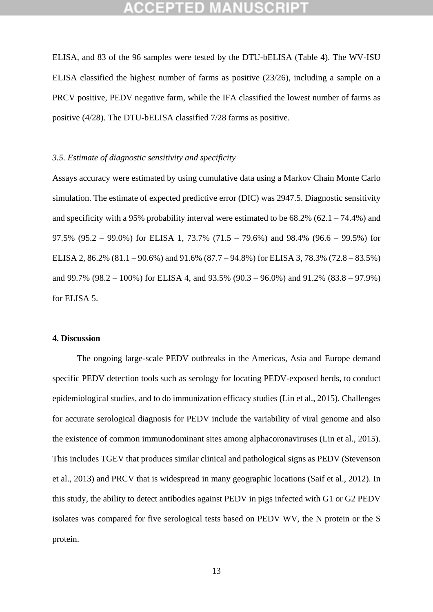## CEPTED M:

ELISA, and 83 of the 96 samples were tested by the DTU-bELISA (Table 4). The WV-ISU ELISA classified the highest number of farms as positive (23/26), including a sample on a PRCV positive, PEDV negative farm, while the IFA classified the lowest number of farms as positive (4/28). The DTU-bELISA classified 7/28 farms as positive.

### *3.5. Estimate of diagnostic sensitivity and specificity*

Assays accuracy were estimated by using cumulative data using a Markov Chain Monte Carlo simulation. The estimate of expected predictive error (DIC) was 2947.5. Diagnostic sensitivity and specificity with a 95% probability interval were estimated to be  $68.2\%$   $(62.1 - 74.4\%)$  and 97.5% (95.2 – 99.0%) for ELISA 1, 73.7% (71.5 – 79.6%) and 98.4% (96.6 – 99.5%) for ELISA 2, 86.2% (81.1 – 90.6%) and 91.6% (87.7 – 94.8%) for ELISA 3, 78.3% (72.8 – 83.5%) and 99.7% (98.2 – 100%) for ELISA 4, and 93.5% (90.3 – 96.0%) and 91.2% (83.8 – 97.9%) for ELISA 5.

### **4. Discussion**

The ongoing large-scale PEDV outbreaks in the Americas, Asia and Europe demand specific PEDV detection tools such as serology for locating PEDV-exposed herds, to conduct epidemiological studies, and to do immunization efficacy studies (Lin et al., 2015). Challenges for accurate serological diagnosis for PEDV include the variability of viral genome and also the existence of common immunodominant sites among alphacoronaviruses (Lin et al., 2015). This includes TGEV that produces similar clinical and pathological signs as PEDV (Stevenson et al., 2013) and PRCV that is widespread in many geographic locations (Saif et al., 2012). In this study, the ability to detect antibodies against PEDV in pigs infected with G1 or G2 PEDV isolates was compared for five serological tests based on PEDV WV, the N protein or the S protein.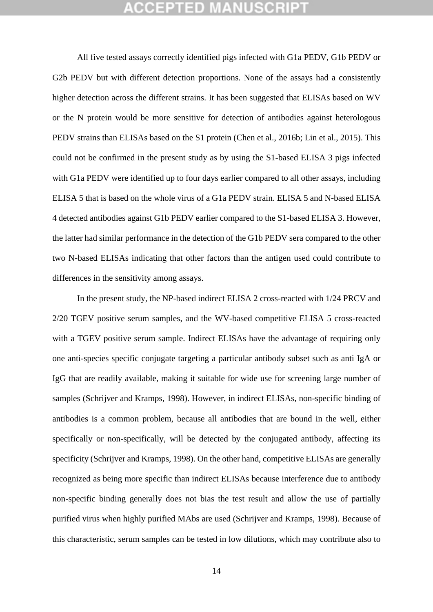All five tested assays correctly identified pigs infected with G1a PEDV, G1b PEDV or G2b PEDV but with different detection proportions. None of the assays had a consistently higher detection across the different strains. It has been suggested that ELISAs based on WV or the N protein would be more sensitive for detection of antibodies against heterologous PEDV strains than ELISAs based on the S1 protein (Chen et al., 2016b; Lin et al., 2015). This could not be confirmed in the present study as by using the S1-based ELISA 3 pigs infected with G1a PEDV were identified up to four days earlier compared to all other assays, including ELISA 5 that is based on the whole virus of a G1a PEDV strain. ELISA 5 and N-based ELISA 4 detected antibodies against G1b PEDV earlier compared to the S1-based ELISA 3. However, the latter had similar performance in the detection of the G1b PEDV sera compared to the other two N-based ELISAs indicating that other factors than the antigen used could contribute to differences in the sensitivity among assays.

In the present study, the NP-based indirect ELISA 2 cross-reacted with 1/24 PRCV and 2/20 TGEV positive serum samples, and the WV-based competitive ELISA 5 cross-reacted with a TGEV positive serum sample. Indirect ELISAs have the advantage of requiring only one anti-species specific conjugate targeting a particular antibody subset such as anti IgA or IgG that are readily available, making it suitable for wide use for screening large number of samples (Schrijver and Kramps, 1998). However, in indirect ELISAs, non-specific binding of antibodies is a common problem, because all antibodies that are bound in the well, either specifically or non-specifically, will be detected by the conjugated antibody, affecting its specificity (Schrijver and Kramps, 1998). On the other hand, competitive ELISAs are generally recognized as being more specific than indirect ELISAs because interference due to antibody non-specific binding generally does not bias the test result and allow the use of partially purified virus when highly purified MAbs are used (Schrijver and Kramps, 1998). Because of this characteristic, serum samples can be tested in low dilutions, which may contribute also to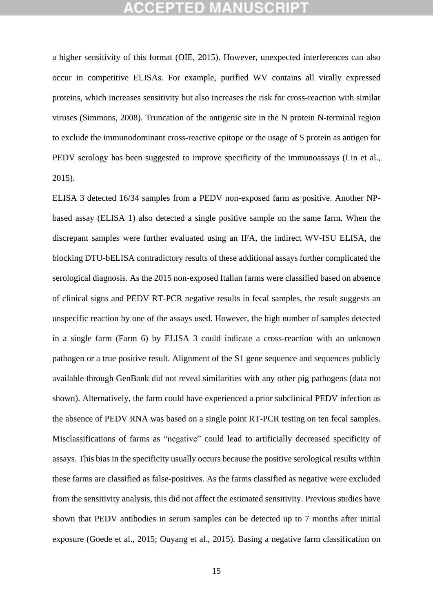## GEPTED M

a higher sensitivity of this format (OIE, 2015). However, unexpected interferences can also occur in competitive ELISAs. For example, purified WV contains all virally expressed proteins, which increases sensitivity but also increases the risk for cross-reaction with similar viruses (Simmons, 2008). Truncation of the antigenic site in the N protein N-terminal region to exclude the immunodominant cross-reactive epitope or the usage of S protein as antigen for PEDV serology has been suggested to improve specificity of the immunoassays (Lin et al., 2015).

ELISA 3 detected 16/34 samples from a PEDV non-exposed farm as positive. Another NPbased assay (ELISA 1) also detected a single positive sample on the same farm. When the discrepant samples were further evaluated using an IFA, the indirect WV-ISU ELISA, the blocking DTU-bELISA contradictory results of these additional assays further complicated the serological diagnosis. As the 2015 non-exposed Italian farms were classified based on absence of clinical signs and PEDV RT-PCR negative results in fecal samples, the result suggests an unspecific reaction by one of the assays used. However, the high number of samples detected in a single farm (Farm 6) by ELISA 3 could indicate a cross-reaction with an unknown pathogen or a true positive result. Alignment of the S1 gene sequence and sequences publicly available through GenBank did not reveal similarities with any other pig pathogens (data not shown). Alternatively, the farm could have experienced a prior subclinical PEDV infection as the absence of PEDV RNA was based on a single point RT-PCR testing on ten fecal samples. Misclassifications of farms as "negative" could lead to artificially decreased specificity of assays. This bias in the specificity usually occurs because the positive serological results within these farms are classified as false-positives. As the farms classified as negative were excluded from the sensitivity analysis, this did not affect the estimated sensitivity. Previous studies have shown that PEDV antibodies in serum samples can be detected up to 7 months after initial exposure (Goede et al., 2015; Ouyang et al., 2015). Basing a negative farm classification on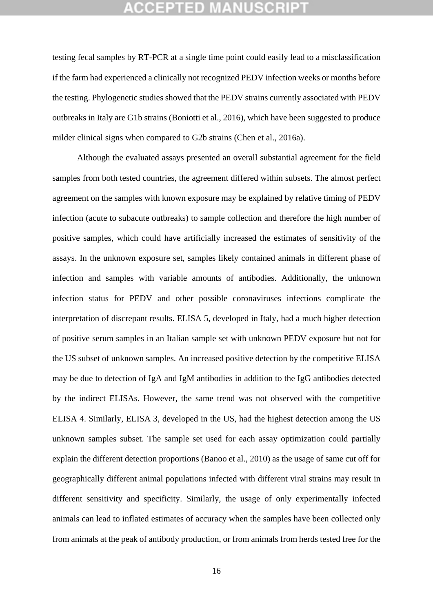## GEPTED M

testing fecal samples by RT-PCR at a single time point could easily lead to a misclassification if the farm had experienced a clinically not recognized PEDV infection weeks or months before the testing. Phylogenetic studies showed that the PEDV strains currently associated with PEDV outbreaks in Italy are G1b strains (Boniotti et al., 2016), which have been suggested to produce milder clinical signs when compared to G2b strains (Chen et al., 2016a).

Although the evaluated assays presented an overall substantial agreement for the field samples from both tested countries, the agreement differed within subsets. The almost perfect agreement on the samples with known exposure may be explained by relative timing of PEDV infection (acute to subacute outbreaks) to sample collection and therefore the high number of positive samples, which could have artificially increased the estimates of sensitivity of the assays. In the unknown exposure set, samples likely contained animals in different phase of infection and samples with variable amounts of antibodies. Additionally, the unknown infection status for PEDV and other possible coronaviruses infections complicate the interpretation of discrepant results. ELISA 5, developed in Italy, had a much higher detection of positive serum samples in an Italian sample set with unknown PEDV exposure but not for the US subset of unknown samples. An increased positive detection by the competitive ELISA may be due to detection of IgA and IgM antibodies in addition to the IgG antibodies detected by the indirect ELISAs. However, the same trend was not observed with the competitive ELISA 4. Similarly, ELISA 3, developed in the US, had the highest detection among the US unknown samples subset. The sample set used for each assay optimization could partially explain the different detection proportions (Banoo et al., 2010) as the usage of same cut off for geographically different animal populations infected with different viral strains may result in different sensitivity and specificity. Similarly, the usage of only experimentally infected animals can lead to inflated estimates of accuracy when the samples have been collected only from animals at the peak of antibody production, or from animals from herds tested free for the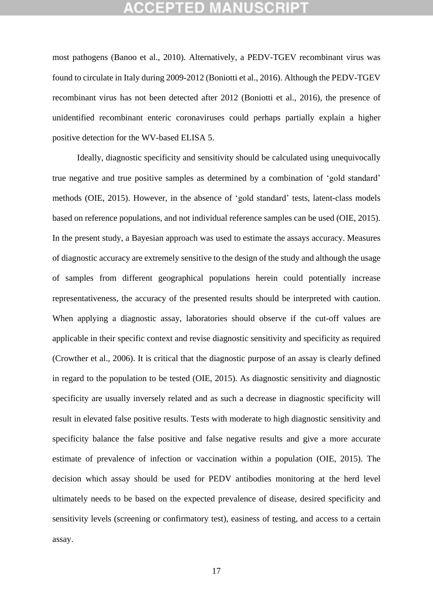## CEPTED M

most pathogens (Banoo et al., 2010). Alternatively, a PEDV-TGEV recombinant virus was found to circulate in Italy during 2009-2012 (Boniotti et al., 2016). Although the PEDV-TGEV recombinant virus has not been detected after 2012 (Boniotti et al., 2016), the presence of unidentified recombinant enteric coronaviruses could perhaps partially explain a higher positive detection for the WV-based ELISA 5.

Ideally, diagnostic specificity and sensitivity should be calculated using unequivocally true negative and true positive samples as determined by a combination of 'gold standard' methods (OIE, 2015). However, in the absence of 'gold standard' tests, latent-class models based on reference populations, and not individual reference samples can be used (OIE, 2015). In the present study, a Bayesian approach was used to estimate the assays accuracy. Measures of diagnostic accuracy are extremely sensitive to the design of the study and although the usage of samples from different geographical populations herein could potentially increase representativeness, the accuracy of the presented results should be interpreted with caution. When applying a diagnostic assay, laboratories should observe if the cut-off values are applicable in their specific context and revise diagnostic sensitivity and specificity as required (Crowther et al., 2006). It is critical that the diagnostic purpose of an assay is clearly defined in regard to the population to be tested (OIE, 2015). As diagnostic sensitivity and diagnostic specificity are usually inversely related and as such a decrease in diagnostic specificity will result in elevated false positive results. Tests with moderate to high diagnostic sensitivity and specificity balance the false positive and false negative results and give a more accurate estimate of prevalence of infection or vaccination within a population (OIE, 2015). The decision which assay should be used for PEDV antibodies monitoring at the herd level ultimately needs to be based on the expected prevalence of disease, desired specificity and sensitivity levels (screening or confirmatory test), easiness of testing, and access to a certain assay.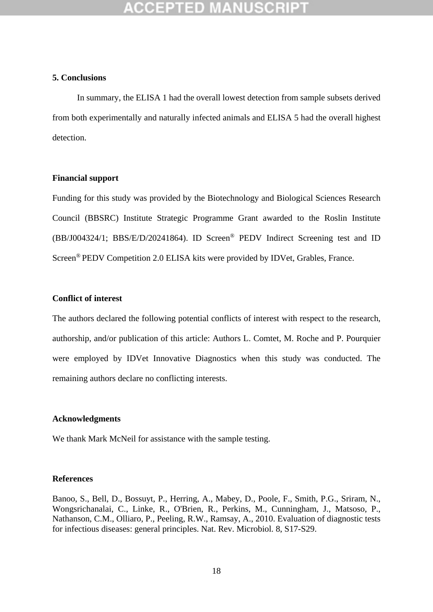### **5. Conclusions**

In summary, the ELISA 1 had the overall lowest detection from sample subsets derived from both experimentally and naturally infected animals and ELISA 5 had the overall highest detection.

#### **Financial support**

Funding for this study was provided by the Biotechnology and Biological Sciences Research Council (BBSRC) Institute Strategic Programme Grant awarded to the Roslin Institute (BB/J004324/1; BBS/E/D/20241864). ID Screen® PEDV Indirect Screening test and ID Screen® PEDV Competition 2.0 ELISA kits were provided by IDVet, Grables, France.

### **Conflict of interest**

The authors declared the following potential conflicts of interest with respect to the research, authorship, and/or publication of this article: Authors L. Comtet, M. Roche and P. Pourquier were employed by IDVet Innovative Diagnostics when this study was conducted. The remaining authors declare no conflicting interests.

### **Acknowledgments**

We thank Mark McNeil for assistance with the sample testing.

#### **References**

Banoo, S., Bell, D., Bossuyt, P., Herring, A., Mabey, D., Poole, F., Smith, P.G., Sriram, N., Wongsrichanalai, C., Linke, R., O'Brien, R., Perkins, M., Cunningham, J., Matsoso, P., Nathanson, C.M., Olliaro, P., Peeling, R.W., Ramsay, A., 2010. Evaluation of diagnostic tests for infectious diseases: general principles. Nat. Rev. Microbiol. 8, S17-S29.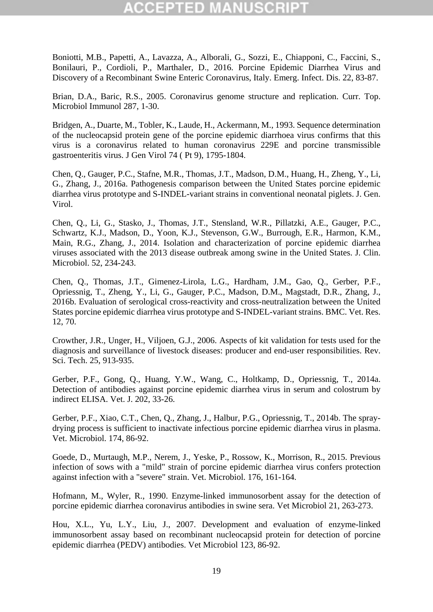# GEPTED

Boniotti, M.B., Papetti, A., Lavazza, A., Alborali, G., Sozzi, E., Chiapponi, C., Faccini, S., Bonilauri, P., Cordioli, P., Marthaler, D., 2016. Porcine Epidemic Diarrhea Virus and Discovery of a Recombinant Swine Enteric Coronavirus, Italy. Emerg. Infect. Dis. 22, 83-87.

Brian, D.A., Baric, R.S., 2005. Coronavirus genome structure and replication. Curr. Top. Microbiol Immunol 287, 1-30.

Bridgen, A., Duarte, M., Tobler, K., Laude, H., Ackermann, M., 1993. Sequence determination of the nucleocapsid protein gene of the porcine epidemic diarrhoea virus confirms that this virus is a coronavirus related to human coronavirus 229E and porcine transmissible gastroenteritis virus. J Gen Virol 74 ( Pt 9), 1795-1804.

Chen, Q., Gauger, P.C., Stafne, M.R., Thomas, J.T., Madson, D.M., Huang, H., Zheng, Y., Li, G., Zhang, J., 2016a. Pathogenesis comparison between the United States porcine epidemic diarrhea virus prototype and S-INDEL-variant strains in conventional neonatal piglets. J. Gen. Virol.

Chen, Q., Li, G., Stasko, J., Thomas, J.T., Stensland, W.R., Pillatzki, A.E., Gauger, P.C., Schwartz, K.J., Madson, D., Yoon, K.J., Stevenson, G.W., Burrough, E.R., Harmon, K.M., Main, R.G., Zhang, J., 2014. Isolation and characterization of porcine epidemic diarrhea viruses associated with the 2013 disease outbreak among swine in the United States. J. Clin. Microbiol. 52, 234-243.

Chen, Q., Thomas, J.T., Gimenez-Lirola, L.G., Hardham, J.M., Gao, Q., Gerber, P.F., Opriessnig, T., Zheng, Y., Li, G., Gauger, P.C., Madson, D.M., Magstadt, D.R., Zhang, J., 2016b. Evaluation of serological cross-reactivity and cross-neutralization between the United States porcine epidemic diarrhea virus prototype and S-INDEL-variant strains. BMC. Vet. Res. 12, 70.

Crowther, J.R., Unger, H., Viljoen, G.J., 2006. Aspects of kit validation for tests used for the diagnosis and surveillance of livestock diseases: producer and end-user responsibilities. Rev. Sci. Tech. 25, 913-935.

Gerber, P.F., Gong, Q., Huang, Y.W., Wang, C., Holtkamp, D., Opriessnig, T., 2014a. Detection of antibodies against porcine epidemic diarrhea virus in serum and colostrum by indirect ELISA. Vet. J. 202, 33-26.

Gerber, P.F., Xiao, C.T., Chen, Q., Zhang, J., Halbur, P.G., Opriessnig, T., 2014b. The spraydrying process is sufficient to inactivate infectious porcine epidemic diarrhea virus in plasma. Vet. Microbiol. 174, 86-92.

Goede, D., Murtaugh, M.P., Nerem, J., Yeske, P., Rossow, K., Morrison, R., 2015. Previous infection of sows with a "mild" strain of porcine epidemic diarrhea virus confers protection against infection with a "severe" strain. Vet. Microbiol. 176, 161-164.

Hofmann, M., Wyler, R., 1990. Enzyme-linked immunosorbent assay for the detection of porcine epidemic diarrhea coronavirus antibodies in swine sera. Vet Microbiol 21, 263-273.

Hou, X.L., Yu, L.Y., Liu, J., 2007. Development and evaluation of enzyme-linked immunosorbent assay based on recombinant nucleocapsid protein for detection of porcine epidemic diarrhea (PEDV) antibodies. Vet Microbiol 123, 86-92.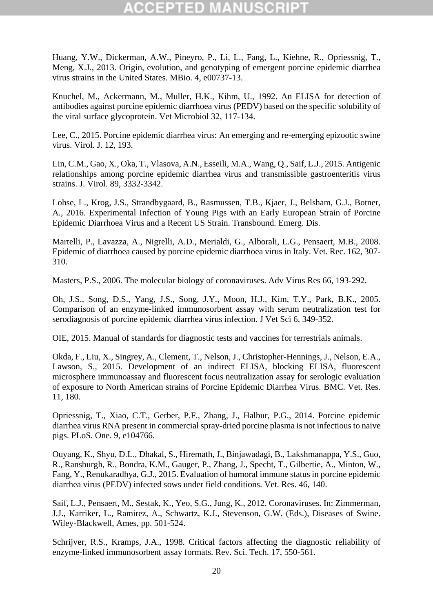# :CEPTED

Huang, Y.W., Dickerman, A.W., Pineyro, P., Li, L., Fang, L., Kiehne, R., Opriessnig, T., Meng, X.J., 2013. Origin, evolution, and genotyping of emergent porcine epidemic diarrhea virus strains in the United States. MBio. 4, e00737-13.

Knuchel, M., Ackermann, M., Muller, H.K., Kihm, U., 1992. An ELISA for detection of antibodies against porcine epidemic diarrhoea virus (PEDV) based on the specific solubility of the viral surface glycoprotein. Vet Microbiol 32, 117-134.

Lee, C., 2015. Porcine epidemic diarrhea virus: An emerging and re-emerging epizootic swine virus. Virol. J. 12, 193.

Lin, C.M., Gao, X., Oka, T., Vlasova, A.N., Esseili, M.A., Wang, Q., Saif, L.J., 2015. Antigenic relationships among porcine epidemic diarrhea virus and transmissible gastroenteritis virus strains. J. Virol. 89, 3332-3342.

Lohse, L., Krog, J.S., Strandbygaard, B., Rasmussen, T.B., Kjaer, J., Belsham, G.J., Botner, A., 2016. Experimental Infection of Young Pigs with an Early European Strain of Porcine Epidemic Diarrhoea Virus and a Recent US Strain. Transbound. Emerg. Dis.

Martelli, P., Lavazza, A., Nigrelli, A.D., Merialdi, G., Alborali, L.G., Pensaert, M.B., 2008. Epidemic of diarrhoea caused by porcine epidemic diarrhoea virus in Italy. Vet. Rec. 162, 307- 310.

Masters, P.S., 2006. The molecular biology of coronaviruses. Adv Virus Res 66, 193-292.

Oh, J.S., Song, D.S., Yang, J.S., Song, J.Y., Moon, H.J., Kim, T.Y., Park, B.K., 2005. Comparison of an enzyme-linked immunosorbent assay with serum neutralization test for serodiagnosis of porcine epidemic diarrhea virus infection. J Vet Sci 6, 349-352.

OIE, 2015. Manual of standards for diagnostic tests and vaccines for terrestrials animals.

Okda, F., Liu, X., Singrey, A., Clement, T., Nelson, J., Christopher-Hennings, J., Nelson, E.A., Lawson, S., 2015. Development of an indirect ELISA, blocking ELISA, fluorescent microsphere immunoassay and fluorescent focus neutralization assay for serologic evaluation of exposure to North American strains of Porcine Epidemic Diarrhea Virus. BMC. Vet. Res. 11, 180.

Opriessnig, T., Xiao, C.T., Gerber, P.F., Zhang, J., Halbur, P.G., 2014. Porcine epidemic diarrhea virus RNA present in commercial spray-dried porcine plasma is not infectious to naive pigs. PLoS. One. 9, e104766.

Ouyang, K., Shyu, D.L., Dhakal, S., Hiremath, J., Binjawadagi, B., Lakshmanappa, Y.S., Guo, R., Ransburgh, R., Bondra, K.M., Gauger, P., Zhang, J., Specht, T., Gilbertie, A., Minton, W., Fang, Y., Renukaradhya, G.J., 2015. Evaluation of humoral immune status in porcine epidemic diarrhea virus (PEDV) infected sows under field conditions. Vet. Res. 46, 140.

Saif, L.J., Pensaert, M., Sestak, K., Yeo, S.G., Jung, K., 2012. Coronaviruses. In: Zimmerman, J.J., Karriker, L., Ramirez, A., Schwartz, K.J., Stevenson, G.W. (Eds.), Diseases of Swine. Wiley-Blackwell, Ames, pp. 501-524.

Schrijver, R.S., Kramps, J.A., 1998. Critical factors affecting the diagnostic reliability of enzyme-linked immunosorbent assay formats. Rev. Sci. Tech. 17, 550-561.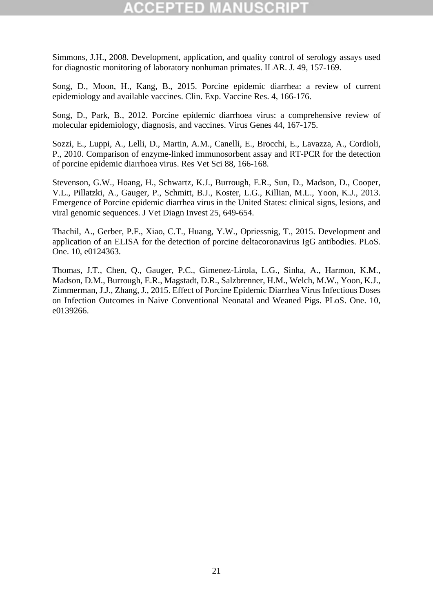Simmons, J.H., 2008. Development, application, and quality control of serology assays used for diagnostic monitoring of laboratory nonhuman primates. ILAR. J. 49, 157-169.

Song, D., Moon, H., Kang, B., 2015. Porcine epidemic diarrhea: a review of current epidemiology and available vaccines. Clin. Exp. Vaccine Res. 4, 166-176.

Song, D., Park, B., 2012. Porcine epidemic diarrhoea virus: a comprehensive review of molecular epidemiology, diagnosis, and vaccines. Virus Genes 44, 167-175.

Sozzi, E., Luppi, A., Lelli, D., Martin, A.M., Canelli, E., Brocchi, E., Lavazza, A., Cordioli, P., 2010. Comparison of enzyme-linked immunosorbent assay and RT-PCR for the detection of porcine epidemic diarrhoea virus. Res Vet Sci 88, 166-168.

Stevenson, G.W., Hoang, H., Schwartz, K.J., Burrough, E.R., Sun, D., Madson, D., Cooper, V.L., Pillatzki, A., Gauger, P., Schmitt, B.J., Koster, L.G., Killian, M.L., Yoon, K.J., 2013. Emergence of Porcine epidemic diarrhea virus in the United States: clinical signs, lesions, and viral genomic sequences. J Vet Diagn Invest 25, 649-654.

Thachil, A., Gerber, P.F., Xiao, C.T., Huang, Y.W., Opriessnig, T., 2015. Development and application of an ELISA for the detection of porcine deltacoronavirus IgG antibodies. PLoS. One. 10, e0124363.

Thomas, J.T., Chen, Q., Gauger, P.C., Gimenez-Lirola, L.G., Sinha, A., Harmon, K.M., Madson, D.M., Burrough, E.R., Magstadt, D.R., Salzbrenner, H.M., Welch, M.W., Yoon, K.J., Zimmerman, J.J., Zhang, J., 2015. Effect of Porcine Epidemic Diarrhea Virus Infectious Doses on Infection Outcomes in Naive Conventional Neonatal and Weaned Pigs. PLoS. One. 10, e0139266.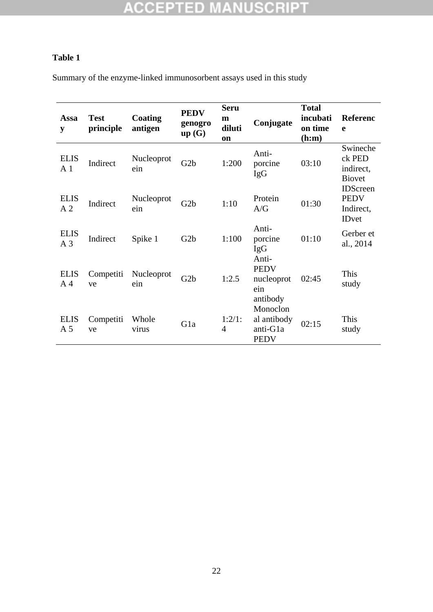## **Table 1**

Summary of the enzyme-linked immunosorbent assays used in this study

| Assa<br>y                     | <b>Test</b><br>principle | Coating<br>antigen | <b>PEDV</b><br>genogro<br>up(G) | <b>Seru</b><br>m<br>diluti<br><b>on</b> | Conjugate                                          | <b>Total</b><br>incubati<br>on time<br>(h:m) | <b>Referenc</b><br>e                                        |
|-------------------------------|--------------------------|--------------------|---------------------------------|-----------------------------------------|----------------------------------------------------|----------------------------------------------|-------------------------------------------------------------|
| <b>ELIS</b><br>A <sub>1</sub> | Indirect                 | Nucleoprot<br>ein  | G2b                             | 1:200                                   | Anti-<br>porcine<br><b>IgG</b>                     | 03:10                                        | Swineche<br>ck PED<br>indirect,<br><b>Biovet</b>            |
| <b>ELIS</b><br>A <sub>2</sub> | Indirect                 | Nucleoprot<br>ein  | G2b                             | 1:10                                    | Protein<br>A/G                                     | 01:30                                        | <b>IDScreen</b><br><b>PEDV</b><br>Indirect,<br><b>IDvet</b> |
| <b>ELIS</b><br>A <sub>3</sub> | Indirect                 | Spike 1            | G2b                             | 1:100                                   | Anti-<br>porcine<br><b>IgG</b><br>Anti-            | 01:10                                        | Gerber et<br>al., 2014                                      |
| <b>ELIS</b><br>A <sub>4</sub> | Competiti<br>ve          | Nucleoprot<br>ein  | G2b                             | 1:2.5                                   | <b>PEDV</b><br>nucleoprot<br>ein<br>antibody       | 02:45                                        | This<br>study                                               |
| <b>ELIS</b><br>A <sub>5</sub> | Competiti<br>ve          | Whole<br>virus     | Gla                             | 1:2/1:<br>$\overline{4}$                | Monoclon<br>al antibody<br>anti-G1a<br><b>PEDV</b> | 02:15                                        | This<br>study                                               |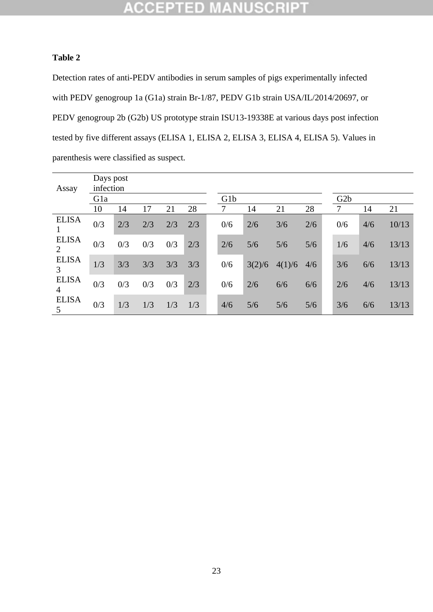#### **CCEPTED** NUSCRI - W

### **Table 2**

Detection rates of anti-PEDV antibodies in serum samples of pigs experimentally infected with PEDV genogroup 1a (G1a) strain Br-1/87, PEDV G1b strain USA/IL/2014/20697, or PEDV genogroup 2b (G2b) US prototype strain ISU13-19338E at various days post infection tested by five different assays (ELISA 1, ELISA 2, ELISA 3, ELISA 4, ELISA 5). Values in parenthesis were classified as suspect.

| Assay             | Days post<br>infection |     |     |     |     |                  |        |        |     |  |     |     |       |  |  |
|-------------------|------------------------|-----|-----|-----|-----|------------------|--------|--------|-----|--|-----|-----|-------|--|--|
|                   | Gla                    |     |     |     |     | G <sub>1</sub> b |        |        |     |  |     | G2b |       |  |  |
|                   | 10                     | 14  | 17  | 21  | 28  | 7                | 14     | 21     | 28  |  | 7   | 14  | 21    |  |  |
| <b>ELISA</b>      | 0/3                    | 2/3 | 2/3 | 2/3 | 2/3 | 0/6              | 2/6    | 3/6    | 2/6 |  | 0/6 | 4/6 | 10/13 |  |  |
| <b>ELISA</b><br>2 | 0/3                    | 0/3 | 0/3 | 0/3 | 2/3 | 2/6              | 5/6    | 5/6    | 5/6 |  | 1/6 | 4/6 | 13/13 |  |  |
| <b>ELISA</b><br>3 | 1/3                    | 3/3 | 3/3 | 3/3 | 3/3 | 0/6              | 3(2)/6 | 4(1)/6 | 4/6 |  | 3/6 | 6/6 | 13/13 |  |  |
| <b>ELISA</b><br>4 | 0/3                    | 0/3 | 0/3 | 0/3 | 2/3 | 0/6              | 2/6    | 6/6    | 6/6 |  | 2/6 | 4/6 | 13/13 |  |  |
| <b>ELISA</b><br>5 | 0/3                    | 1/3 | 1/3 | 1/3 | 1/3 | 4/6              | 5/6    | 5/6    | 5/6 |  | 3/6 | 6/6 | 13/13 |  |  |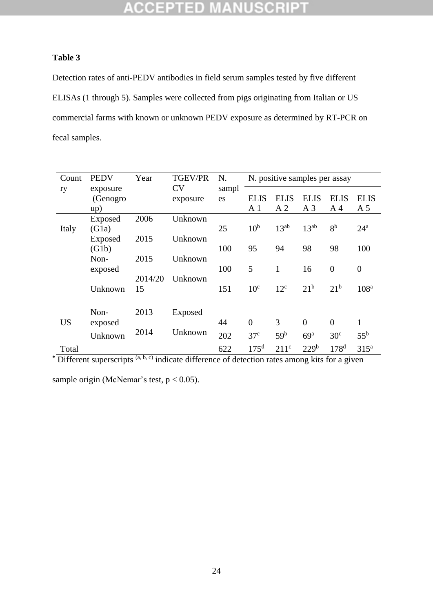# **ACCEPTED MANUSCRIPT**

### **Table 3**

Detection rates of anti-PEDV antibodies in field serum samples tested by five different ELISAs (1 through 5). Samples were collected from pigs originating from Italian or US commercial farms with known or unknown PEDV exposure as determined by RT-PCR on fecal samples.

| Count     | <b>PEDV</b> | Year    | <b>TGEV/PR</b> | N.    |                  | N. positive samples per assay |                  |                  |                  |
|-----------|-------------|---------|----------------|-------|------------------|-------------------------------|------------------|------------------|------------------|
| ry        | exposure    |         | <b>CV</b>      | sampl |                  |                               |                  |                  |                  |
|           | (Genogro    |         | exposure       | es    | <b>ELIS</b>      | <b>ELIS</b>                   | <b>ELIS</b>      | <b>ELIS</b>      | <b>ELIS</b>      |
|           | up)         |         |                |       | A <sub>1</sub>   | A <sub>2</sub>                | A <sub>3</sub>   | A <sub>4</sub>   | A <sub>5</sub>   |
|           | Exposed     | 2006    | Unknown        |       |                  |                               |                  |                  |                  |
| Italy     | (G1a)       |         |                | 25    | 10 <sup>b</sup>  | $13^{ab}$                     | $13^{ab}$        | 8 <sup>b</sup>   | $24^{\rm a}$     |
|           | Exposed     | 2015    | Unknown        |       |                  |                               |                  |                  |                  |
|           | (G1b)       |         |                | 100   | 95               | 94                            | 98               | 98               | 100              |
|           | Non-        | 2015    | Unknown        |       |                  |                               |                  |                  |                  |
|           | exposed     |         |                | 100   | 5                | $\mathbf{1}$                  | 16               | $\overline{0}$   | $\boldsymbol{0}$ |
|           |             | 2014/20 | Unknown        |       |                  |                               |                  |                  |                  |
|           | Unknown     | 15      |                | 151   | 10 <sup>c</sup>  | $12^{\circ}$                  | 21 <sup>b</sup>  | 21 <sup>b</sup>  | 108 <sup>a</sup> |
|           |             |         |                |       |                  |                               |                  |                  |                  |
|           |             |         |                |       |                  |                               |                  |                  |                  |
|           | Non-        | 2013    | Exposed        |       |                  |                               |                  |                  |                  |
| <b>US</b> | exposed     |         |                | 44    | $\overline{0}$   | 3                             | $\overline{0}$   | $\overline{0}$   | 1                |
|           | Unknown     | 2014    | Unknown        | 202   | 37 <sup>c</sup>  | 59 <sup>b</sup>               | 69 <sup>a</sup>  | 30 <sup>c</sup>  | $55^{\rm b}$     |
| Total     |             |         |                | 622   | 175 <sup>d</sup> | 211 <sup>c</sup>              | 229 <sup>b</sup> | 178 <sup>d</sup> | 315 <sup>a</sup> |

**\*** Different superscripts (a, b, c) indicate difference of detection rates among kits for a given

sample origin (McNemar's test,  $p < 0.05$ ).